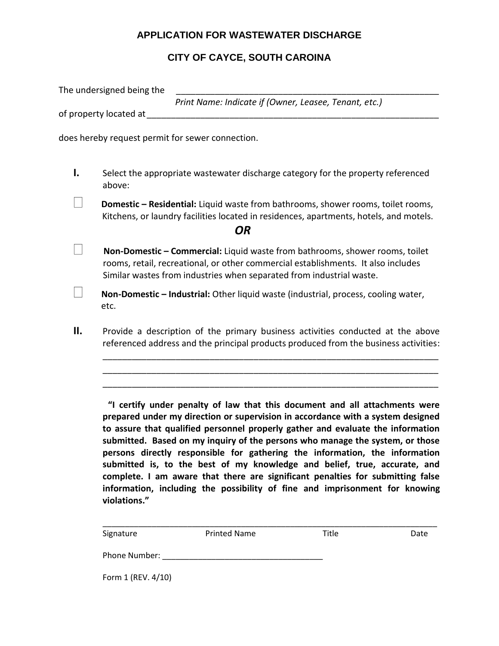### **APPLICATION FOR WASTEWATER DISCHARGE**

# **CITY OF CAYCE, SOUTH CAROINA**

The undersigned being the *Print Name: Indicate if (Owner, Leasee, Tenant, etc.)* of property located at the state of property located at  $\mathcal{L}$ does hereby request permit for sewer connection. **I.** Select the appropriate wastewater discharge category for the property referenced above:  $\mathbf{L}$  **Domestic – Residential:** Liquid waste from bathrooms, shower rooms, toilet rooms, Kitchens, or laundry facilities located in residences, apartments, hotels, and motels. *OR*  $\Box$ 

- **Non-Domestic – Commercial:** Liquid waste from bathrooms, shower rooms, toilet rooms, retail, recreational, or other commercial establishments. It also includes Similar wastes from industries when separated from industrial waste.
- **Non-Domestic – Industrial:** Other liquid waste (industrial, process, cooling water, etc.

 $\vert \ \ \vert$ 

**II.** Provide a description of the primary business activities conducted at the above referenced address and the principal products produced from the business activities:

\_\_\_\_\_\_\_\_\_\_\_\_\_\_\_\_\_\_\_\_\_\_\_\_\_\_\_\_\_\_\_\_\_\_\_\_\_\_\_\_\_\_\_\_\_\_\_\_\_\_\_\_\_\_\_\_\_\_\_\_\_\_\_\_\_\_\_\_\_ \_\_\_\_\_\_\_\_\_\_\_\_\_\_\_\_\_\_\_\_\_\_\_\_\_\_\_\_\_\_\_\_\_\_\_\_\_\_\_\_\_\_\_\_\_\_\_\_\_\_\_\_\_\_\_\_\_\_\_\_\_\_\_\_\_\_\_\_\_ \_\_\_\_\_\_\_\_\_\_\_\_\_\_\_\_\_\_\_\_\_\_\_\_\_\_\_\_\_\_\_\_\_\_\_\_\_\_\_\_\_\_\_\_\_\_\_\_\_\_\_\_\_\_\_\_\_\_\_\_\_\_\_\_\_\_\_\_\_

**"I certify under penalty of law that this document and all attachments were prepared under my direction or supervision in accordance with a system designed to assure that qualified personnel properly gather and evaluate the information submitted. Based on my inquiry of the persons who manage the system, or those persons directly responsible for gathering the information, the information submitted is, to the best of my knowledge and belief, true, accurate, and complete. I am aware that there are significant penalties for submitting false information, including the possibility of fine and imprisonment for knowing violations."** 

| Signature          | <b>Printed Name</b> | Title | Date |
|--------------------|---------------------|-------|------|
| Phone Number:      |                     |       |      |
| Form 1 (REV. 4/10) |                     |       |      |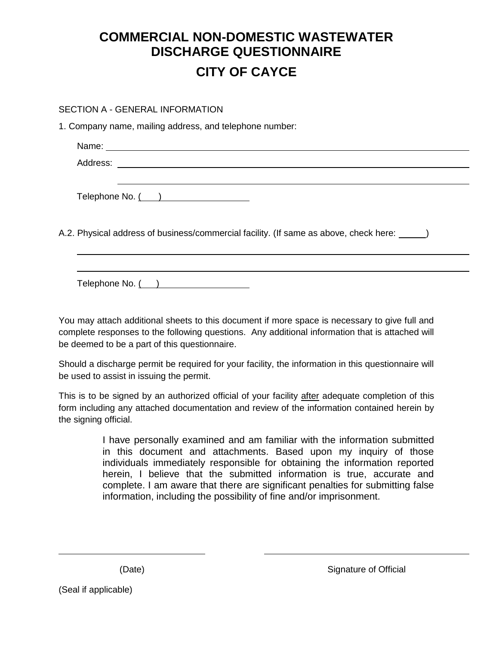# **COMMERCIAL NON-DOMESTIC WASTEWATER DISCHARGE QUESTIONNAIRE CITY OF CAYCE**

#### SECTION A - GENERAL INFORMATION

1. Company name, mailing address, and telephone number:

| Telephone No. ( )                                                                            |
|----------------------------------------------------------------------------------------------|
|                                                                                              |
| A.2. Physical address of business/commercial facility. (If same as above, check here: _____) |
|                                                                                              |
|                                                                                              |
|                                                                                              |

Telephone No. ( )

You may attach additional sheets to this document if more space is necessary to give full and complete responses to the following questions. Any additional information that is attached will be deemed to be a part of this questionnaire.

Should a discharge permit be required for your facility, the information in this questionnaire will be used to assist in issuing the permit.

This is to be signed by an authorized official of your facility after adequate completion of this form including any attached documentation and review of the information contained herein by the signing official.

> I have personally examined and am familiar with the information submitted in this document and attachments. Based upon my inquiry of those individuals immediately responsible for obtaining the information reported herein, I believe that the submitted information is true, accurate and complete. I am aware that there are significant penalties for submitting false information, including the possibility of fine and/or imprisonment.

(Date) Signature of Official

(Seal if applicable)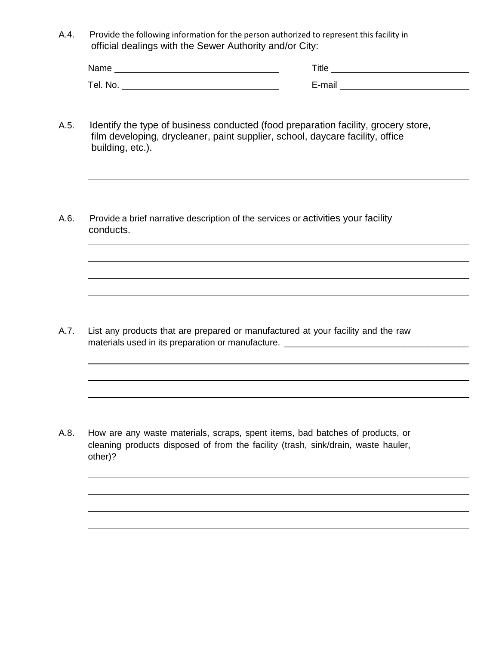A.4. Provide the following information for the person authorized to represent this facility in official dealings with the Sewer Authority and/or City:

| Name     | ⊑itle                   |
|----------|-------------------------|
| Tel. No. | –<br>$-2$<br>--<br>____ |

- A.5. Identify the type of business conducted (food preparation facility, grocery store, film developing, drycleaner, paint supplier, school, daycare facility, office building, etc.).
- A.6. Provide a brief narrative description of the services or activities your facility conducts.

A.7. List any products that are prepared or manufactured at your facility and the raw materials used in its preparation or manufacture. \_\_\_\_\_\_\_\_\_\_\_\_\_\_\_\_\_\_\_\_\_\_\_\_\_\_\_\_\_\_

A.8. How are any waste materials, scraps, spent items, bad batches of products, or cleaning products disposed of from the facility (trash, sink/drain, waste hauler, other)?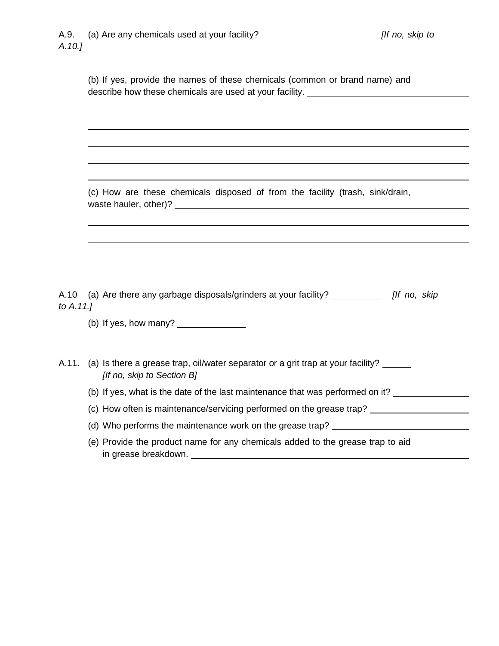(b) If yes, provide the names of these chemicals (common or brand name) and describe how these chemicals are used at your facility. \_\_\_\_\_\_\_\_\_\_\_\_\_\_\_\_\_\_\_\_\_\_\_\_

(c) How are these chemicals disposed of from the facility (trash, sink/drain, waste hauler, other)?

A.10 (a) Are there any garbage disposals/grinders at your facility? *[If no, skip to A.11.]*

(b) If yes, how many?

| A.11. (a) Is there a grease trap, oil/water separator or a grit trap at your facility? |
|----------------------------------------------------------------------------------------|
| [If no, skip to Section B]                                                             |

- (b) If yes, what is the date of the last maintenance that was performed on it?
- (c) How often is maintenance/servicing performed on the grease trap?
- (d) Who performs the maintenance work on the grease trap?
- (e) Provide the product name for any chemicals added to the grease trap to aid in grease breakdown.